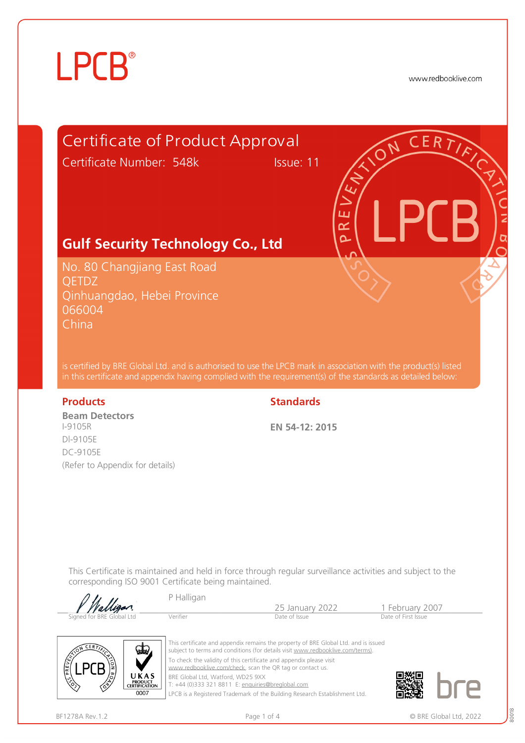www.redbooklive.com

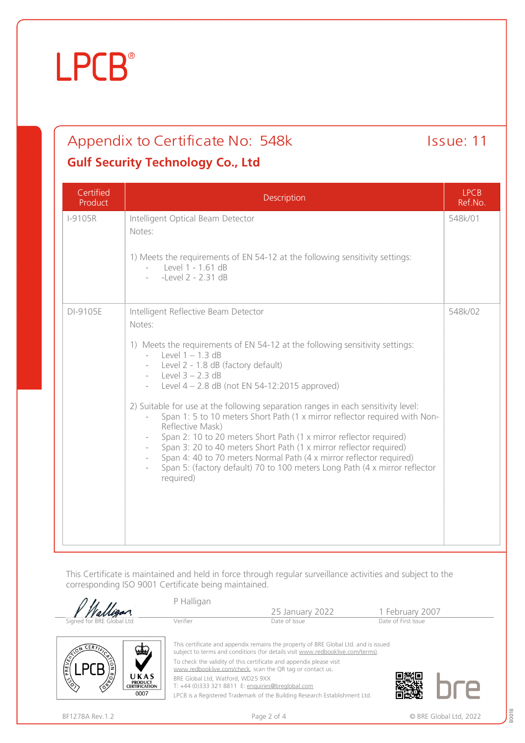### Appendix to Certificate No: 548k Issue: 11

### **Gulf Security Technology Co., Ltd**

| Certified<br>Product | Description                                                                                                                                                                                                                                                                                                                                                                                                                                                                                                                                                                                                                                                                                                                                                                  | <b>LPCB</b><br>Ref.No. |
|----------------------|------------------------------------------------------------------------------------------------------------------------------------------------------------------------------------------------------------------------------------------------------------------------------------------------------------------------------------------------------------------------------------------------------------------------------------------------------------------------------------------------------------------------------------------------------------------------------------------------------------------------------------------------------------------------------------------------------------------------------------------------------------------------------|------------------------|
| <b>I-9105R</b>       | Intelligent Optical Beam Detector<br>Notes:<br>1) Meets the requirements of EN 54-12 at the following sensitivity settings:<br>$-$ Level 1 - 1.61 dB<br>-Level 2 - 2.31 dB                                                                                                                                                                                                                                                                                                                                                                                                                                                                                                                                                                                                   | 548k/01                |
| DI-9105E             | Intelligent Reflective Beam Detector<br>Notes:<br>1) Meets the requirements of EN 54-12 at the following sensitivity settings:<br>- Level $1 - 1.3$ dB<br>Level 2 - 1.8 dB (factory default)<br>- Level $3 - 2.3$ dB<br>Level $4 - 2.8$ dB (not EN 54-12:2015 approved)<br>2) Suitable for use at the following separation ranges in each sensitivity level:<br>Span 1: 5 to 10 meters Short Path (1 x mirror reflector required with Non-<br>Reflective Mask)<br>Span 2: 10 to 20 meters Short Path (1 x mirror reflector required)<br>Span 3: 20 to 40 meters Short Path (1 x mirror reflector required)<br>Span 4: 40 to 70 meters Normal Path (4 x mirror reflector required)<br>Span 5: (factory default) 70 to 100 meters Long Path (4 x mirror reflector<br>required) | 548k/02                |

This Certificate is maintained and held in force through regular surveillance activities and subject to the corresponding ISO 9001 Certificate being maintained.

|                                                                                             | P Halligan                                                                                                                                                                                                                 | 25 January 2022                                                                                                                                                                                                                                     | 1 February 2007     |
|---------------------------------------------------------------------------------------------|----------------------------------------------------------------------------------------------------------------------------------------------------------------------------------------------------------------------------|-----------------------------------------------------------------------------------------------------------------------------------------------------------------------------------------------------------------------------------------------------|---------------------|
| Signed for BRE Global Ltd                                                                   | Verifier                                                                                                                                                                                                                   | Date of Issue                                                                                                                                                                                                                                       | Date of First Issue |
| ستعد<br>PREVENT<br>UKAS<br>$\mathbb{R}^3$<br><b>PRODUCT</b><br><b>CERTIFICATION</b><br>0007 | To check the validity of this certificate and appendix please visit<br>www.redbooklive.com/check, scan the QR tag or contact us.<br>BRE Global Ltd, Watford, WD25 9XX<br>T: +44 (0)333 321 8811 E: enquiries@breglobal.com | This certificate and appendix remains the property of BRE Global Ltd. and is issued<br>subject to terms and conditions (for details visit www.redbooklive.com/terms).<br>LPCB is a Registered Trademark of the Building Research Establishment Ltd. |                     |

80018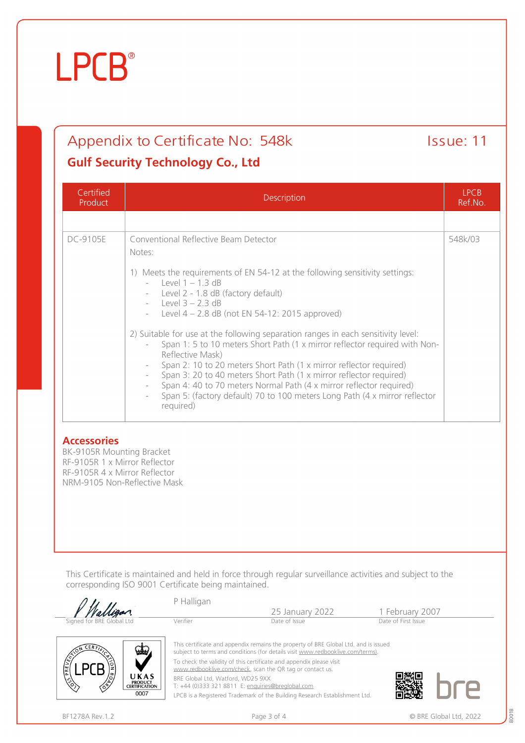### Appendix to Certificate No: 548k Issue: 11

#### **Gulf Security Technology Co., Ltd**

| Certified<br>Product | <b>Description</b>                                                                                                                                                                                                                                                                                                                                                                                                                                                                                                                                                                                                                                                                                                                                                               |         |  |
|----------------------|----------------------------------------------------------------------------------------------------------------------------------------------------------------------------------------------------------------------------------------------------------------------------------------------------------------------------------------------------------------------------------------------------------------------------------------------------------------------------------------------------------------------------------------------------------------------------------------------------------------------------------------------------------------------------------------------------------------------------------------------------------------------------------|---------|--|
|                      |                                                                                                                                                                                                                                                                                                                                                                                                                                                                                                                                                                                                                                                                                                                                                                                  |         |  |
| DC-9105E             | Conventional Reflective Beam Detector<br>Notes:<br>1) Meets the requirements of EN 54-12 at the following sensitivity settings:<br>- Level $1 - 1.3$ dB<br>Level 2 - 1.8 dB (factory default)<br>- Level $3 - 2.3$ dB<br>- Level $4 - 2.8$ dB (not EN 54-12: 2015 approved)<br>2) Suitable for use at the following separation ranges in each sensitivity level:<br>Span 1: 5 to 10 meters Short Path (1 x mirror reflector required with Non-<br>Reflective Mask)<br>Span 2: 10 to 20 meters Short Path (1 x mirror reflector required)<br>Span 3: 20 to 40 meters Short Path (1 x mirror reflector required)<br>Span 4: 40 to 70 meters Normal Path (4 x mirror reflector required)<br>Span 5: (factory default) 70 to 100 meters Long Path (4 x mirror reflector<br>required) | 548k/03 |  |

#### **Accessories**

BK-9105R Mounting Bracket RF-9105R 1 x Mirror Reflector RF-9105R 4 x Mirror Reflector NRM-9105 Non-Reflective Mask

This Certificate is maintained and held in force through regular surveillance activities and subject to the corresponding ISO 9001 Certificate being maintained.

|                                                                                                       | P Halligan                                                                                                                       |                                                                                                                                                                       |                     |
|-------------------------------------------------------------------------------------------------------|----------------------------------------------------------------------------------------------------------------------------------|-----------------------------------------------------------------------------------------------------------------------------------------------------------------------|---------------------|
|                                                                                                       |                                                                                                                                  | 25 January 2022                                                                                                                                                       | 1 February 2007     |
| Signed for BRE Global Ltd                                                                             | Verifier                                                                                                                         | Date of Issue                                                                                                                                                         | Date of First Issue |
|                                                                                                       |                                                                                                                                  |                                                                                                                                                                       |                     |
| <b>ERT</b><br>$\mathbf{w}$                                                                            |                                                                                                                                  | This certificate and appendix remains the property of BRE Global Ltd. and is issued<br>subject to terms and conditions (for details visit www.redbooklive.com/terms). |                     |
| PREVEN                                                                                                | To check the validity of this certificate and appendix please visit<br>www.redbooklive.com/check, scan the QR tag or contact us. |                                                                                                                                                                       |                     |
| <b>CRANT</b><br>UKAS<br>$\langle \hat{\mathcal{E}} \rangle$<br><b>PRODUCT</b><br><b>CERTIFICATION</b> | BRE Global Ltd, Watford, WD25 9XX                                                                                                | T: +44 (0)333 321 8811 E: enquiries@breglobal.com                                                                                                                     |                     |
| 0007                                                                                                  |                                                                                                                                  | LPCB is a Registered Trademark of the Building Research Establishment Ltd.                                                                                            |                     |

80018